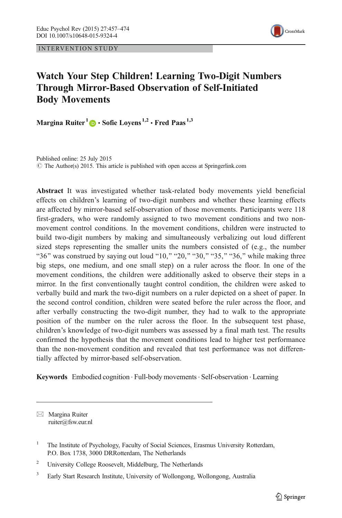INTERVENTION STUDY



# Watch Your Step Children! Learning Two-Digit Numbers Through Mirror-Based Observation of Self-Initiated Body Movements

Margina Ruiter<sup>1</sup>  $\mathbf{D} \cdot$  Sofie Loyens<sup>1,2</sup>  $\cdot$  Fred Paas<sup>1,3</sup>

Published online: 25 July 2015  $\degree$  The Author(s) 2015. This article is published with open access at Springerlink.com

Abstract It was investigated whether task-related body movements yield beneficial effects on children's learning of two-digit numbers and whether these learning effects are affected by mirror-based self-observation of those movements. Participants were 118 first-graders, who were randomly assigned to two movement conditions and two nonmovement control conditions. In the movement conditions, children were instructed to build two-digit numbers by making and simultaneously verbalizing out loud different sized steps representing the smaller units the numbers consisted of (e.g., the number " $36$ " was construed by saying out loud " $10$ ," " $20$ ," " $30$ ," " $35$ ," " $36$ ," while making three big steps, one medium, and one small step) on a ruler across the floor. In one of the movement conditions, the children were additionally asked to observe their steps in a mirror. In the first conventionally taught control condition, the children were asked to verbally build and mark the two-digit numbers on a ruler depicted on a sheet of paper. In the second control condition, children were seated before the ruler across the floor, and after verbally constructing the two-digit number, they had to walk to the appropriate position of the number on the ruler across the floor. In the subsequent test phase, children's knowledge of two-digit numbers was assessed by a final math test. The results confirmed the hypothesis that the movement conditions lead to higher test performance than the non-movement condition and revealed that test performance was not differentially affected by mirror-based self-observation.

Keywords Embodied cognition . Full-body movements. Self-observation . Learning

 $\boxtimes$  Margina Ruiter ruiter@fsw.eur.nl

<sup>&</sup>lt;sup>1</sup> The Institute of Psychology, Faculty of Social Sciences, Erasmus University Rotterdam, P.O. Box 1738, 3000 DRRotterdam, The Netherlands

<sup>&</sup>lt;sup>2</sup> University College Roosevelt, Middelburg, The Netherlands

<sup>&</sup>lt;sup>3</sup> Early Start Research Institute, University of Wollongong, Wollongong, Australia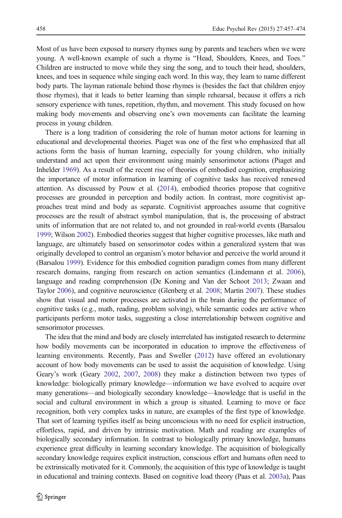Most of us have been exposed to nursery rhymes sung by parents and teachers when we were young. A well-known example of such a rhyme is "Head, Shoulders, Knees, and Toes." Children are instructed to move while they sing the song, and to touch their head, shoulders, knees, and toes in sequence while singing each word. In this way, they learn to name different body parts. The layman rationale behind those rhymes is (besides the fact that children enjoy those rhymes), that it leads to better learning than simple rehearsal, because it offers a rich sensory experience with tunes, repetition, rhythm, and movement. This study focused on how making body movements and observing one's own movements can facilitate the learning process in young children.

There is a long tradition of considering the role of human motor actions for learning in educational and developmental theories. Piaget was one of the first who emphasized that all actions form the basis of human learning, especially for young children, who initially understand and act upon their environment using mainly sensorimotor actions (Piaget and Inhelder [1969](#page-16-0)). As a result of the recent rise of theories of embodied cognition, emphasizing the importance of motor information in learning of cognitive tasks has received renewed attention. As discussed by Pouw et al. [\(2014\)](#page-17-0), embodied theories propose that cognitive processes are grounded in perception and bodily action. In contrast, more cognitivist approaches treat mind and body as separate. Cognitivist approaches assume that cognitive processes are the result of abstract symbol manipulation, that is, the processing of abstract units of information that are not related to, and not grounded in real-world events (Barsalou [1999](#page-15-0); Wilson [2002](#page-17-0)). Embodied theories suggest that higher cognitive processes, like math and language, are ultimately based on sensorimotor codes within a generalized system that was originally developed to control an organism's motor behavior and perceive the world around it (Barsalou [1999\)](#page-15-0). Evidence for this embodied cognition paradigm comes from many different research domains, ranging from research on action semantics (Lindemann et al. [2006](#page-16-0)), language and reading comprehension (De Koning and Van der Schoot [2013](#page-15-0); Zwaan and Taylor [2006\)](#page-17-0), and cognitive neuroscience (Glenberg et al. [2008;](#page-15-0) Martin [2007](#page-16-0)). These studies show that visual and motor processes are activated in the brain during the performance of cognitive tasks (e.g., math, reading, problem solving), while semantic codes are active when participants perform motor tasks, suggesting a close interrelationship between cognitive and sensorimotor processes.

The idea that the mind and body are closely interrelated has instigated research to determine how bodily movements can be incorporated in education to improve the effectiveness of learning environments. Recently, Paas and Sweller [\(2012\)](#page-16-0) have offered an evolutionary account of how body movements can be used to assist the acquisition of knowledge. Using Geary's work (Geary [2002](#page-15-0), [2007,](#page-15-0) [2008](#page-15-0)) they make a distinction between two types of knowledge: biologically primary knowledge—information we have evolved to acquire over many generations—and biologically secondary knowledge—knowledge that is useful in the social and cultural environment in which a group is situated. Learning to move or face recognition, both very complex tasks in nature, are examples of the first type of knowledge. That sort of learning typifies itself as being unconscious with no need for explicit instruction, effortless, rapid, and driven by intrinsic motivation. Math and reading are examples of biologically secondary information. In contrast to biologically primary knowledge, humans experience great difficulty in learning secondary knowledge. The acquisition of biologically secondary knowledge requires explicit instruction, conscious effort and humans often need to be extrinsically motivated for it. Commonly, the acquisition of this type of knowledge is taught in educational and training contexts. Based on cognitive load theory (Paas et al. [2003a\)](#page-16-0), Paas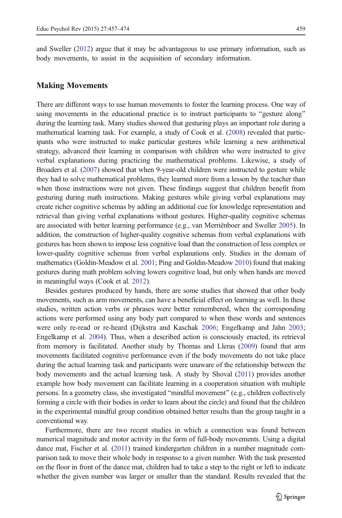and Sweller ([2012](#page-16-0)) argue that it may be advantageous to use primary information, such as body movements, to assist in the acquisition of secondary information.

### Making Movements

There are different ways to use human movements to foster the learning process. One way of using movements in the educational practice is to instruct participants to "gesture along" during the learning task. Many studies showed that gesturing plays an important role during a mathematical learning task. For example, a study of Cook et al. [\(2008](#page-15-0)) revealed that participants who were instructed to make particular gestures while learning a new arithmetical strategy, advanced their learning in comparison with children who were instructed to give verbal explanations during practicing the mathematical problems. Likewise, a study of Broaders et al. [\(2007\)](#page-15-0) showed that when 9-year-old children were instructed to gesture while they had to solve mathematical problems, they learned more from a lesson by the teacher than when those instructions were not given. These findings suggest that children benefit from gesturing during math instructions. Making gestures while giving verbal explanations may create richer cognitive schemas by adding an additional cue for knowledge representation and retrieval than giving verbal explanations without gestures. Higher-quality cognitive schemas are associated with better learning performance (e.g., van Merriënboer and Sweller [2005\)](#page-17-0). In addition, the construction of higher-quality cognitive schemas from verbal explanations with gestures has been shown to impose less cognitive load than the construction of less complex or lower-quality cognitive schemas from verbal explanations only. Studies in the domain of mathematics (Goldin-Meadow et al. [2001](#page-16-0); Ping and Goldin-Meadow [2010](#page-16-0)) found that making gestures during math problem solving lowers cognitive load, but only when hands are moved in meaningful ways (Cook et al. [2012](#page-15-0)).

Besides gestures produced by hands, there are some studies that showed that other body movements, such as arm movements, can have a beneficial effect on learning as well. In these studies, written action verbs or phrases were better remembered, when the corresponding actions were performed using any body part compared to when these words and sentences were only re-read or re-heard (Dijkstra and Kaschak [2006](#page-15-0); Engelkamp and Jahn [2003](#page-15-0); Engelkamp et al. [2004\)](#page-15-0). Thus, when a described action is consciously enacted, its retrieval from memory is facilitated. Another study by Thomas and Lleras [\(2009\)](#page-17-0) found that arm movements facilitated cognitive performance even if the body movements do not take place during the actual learning task and participants were unaware of the relationship between the body movements and the actual learning task. A study by Shoval [\(2011](#page-17-0)) provides another example how body movement can facilitate learning in a cooperation situation with multiple persons. In a geometry class, she investigated "mindful movement" (e.g., children collectively forming a circle with their bodies in order to learn about the circle) and found that the children in the experimental mindful group condition obtained better results than the group taught in a conventional way.

Furthermore, there are two recent studies in which a connection was found between numerical magnitude and motor activity in the form of full-body movements. Using a digital dance mat, Fischer et al. [\(2011](#page-15-0)) trained kindergarten children in a number magnitude comparison task to move their whole body in response to a given number. With the task presented on the floor in front of the dance mat, children had to take a step to the right or left to indicate whether the given number was larger or smaller than the standard. Results revealed that the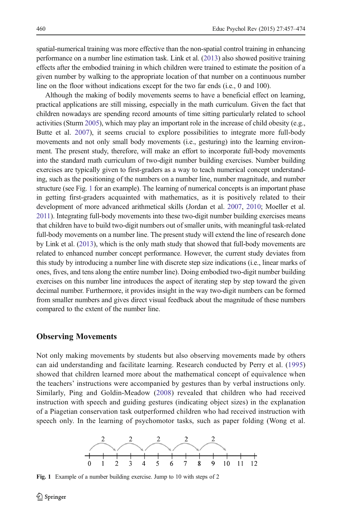spatial-numerical training was more effective than the non-spatial control training in enhancing performance on a number line estimation task. Link et al. ([2013](#page-16-0)) also showed positive training effects after the embodied training in which children were trained to estimate the position of a given number by walking to the appropriate location of that number on a continuous number line on the floor without indications except for the two far ends (i.e., 0 and 100).

Although the making of bodily movements seems to have a beneficial effect on learning, practical applications are still missing, especially in the math curriculum. Given the fact that children nowadays are spending record amounts of time sitting particularly related to school activities (Sturm [2005\)](#page-17-0), which may play an important role in the increase of child obesity (e.g., Butte et al. [2007](#page-15-0)), it seems crucial to explore possibilities to integrate more full-body movements and not only small body movements (i.e., gesturing) into the learning environment. The present study, therefore, will make an effort to incorporate full-body movements into the standard math curriculum of two-digit number building exercises. Number building exercises are typically given to first-graders as a way to teach numerical concept understanding, such as the positioning of the numbers on a number line, number magnitude, and number structure (see Fig. 1 for an example). The learning of numerical concepts is an important phase in getting first-graders acquainted with mathematics, as it is positively related to their development of more advanced arithmetical skills (Jordan et al. [2007,](#page-16-0) [2010](#page-16-0); Moeller et al. [2011\)](#page-16-0). Integrating full-body movements into these two-digit number building exercises means that children have to build two-digit numbers out of smaller units, with meaningful task-related full-body movements on a number line. The present study will extend the line of research done by Link et al. ([2013](#page-16-0)), which is the only math study that showed that full-body movements are related to enhanced number concept performance. However, the current study deviates from this study by introducing a number line with discrete step size indications (i.e., linear marks of ones, fives, and tens along the entire number line). Doing embodied two-digit number building exercises on this number line introduces the aspect of iterating step by step toward the given decimal number. Furthermore, it provides insight in the way two-digit numbers can be formed from smaller numbers and gives direct visual feedback about the magnitude of these numbers compared to the extent of the number line.

### Observing Movements

Not only making movements by students but also observing movements made by others can aid understanding and facilitate learning. Research conducted by Perry et al. [\(1995\)](#page-16-0) showed that children learned more about the mathematical concept of equivalence when the teachers' instructions were accompanied by gestures than by verbal instructions only. Similarly, Ping and Goldin-Meadow ([2008](#page-16-0)) revealed that children who had received instruction with speech and guiding gestures (indicating object sizes) in the explanation of a Piagetian conservation task outperformed children who had received instruction with speech only. In the learning of psychomotor tasks, such as paper folding (Wong et al.



Fig. 1 Example of a number building exercise. Jump to 10 with steps of 2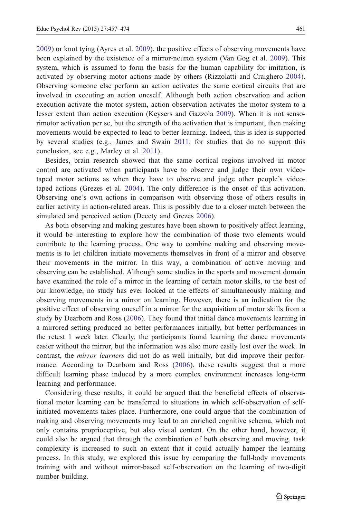[2009](#page-17-0)) or knot tying (Ayres et al. [2009](#page-15-0)), the positive effects of observing movements have been explained by the existence of a mirror-neuron system (Van Gog et al. [2009\)](#page-17-0). This system, which is assumed to form the basis for the human capability for imitation, is activated by observing motor actions made by others (Rizzolatti and Craighero [2004](#page-17-0)). Observing someone else perform an action activates the same cortical circuits that are involved in executing an action oneself. Although both action observation and action execution activate the motor system, action observation activates the motor system to a lesser extent than action execution (Keysers and Gazzola [2009](#page-16-0)). When it is not sensorimotor activation per se, but the strength of the activation that is important, then making movements would be expected to lead to better learning. Indeed, this is idea is supported by several studies (e.g., James and Swain [2011;](#page-16-0) for studies that do no support this conclusion, see e.g., Marley et al. [2011](#page-16-0)).

Besides, brain research showed that the same cortical regions involved in motor control are activated when participants have to observe and judge their own videotaped motor actions as when they have to observe and judge other people's videotaped actions (Grezes et al. [2004\)](#page-16-0). The only difference is the onset of this activation. Observing one's own actions in comparison with observing those of others results in earlier activity in action-related areas. This is possibly due to a closer match between the simulated and perceived action (Decety and Grezes [2006\)](#page-15-0).

As both observing and making gestures have been shown to positively affect learning, it would be interesting to explore how the combination of those two elements would contribute to the learning process. One way to combine making and observing movements is to let children initiate movements themselves in front of a mirror and observe their movements in the mirror. In this way, a combination of active moving and observing can be established. Although some studies in the sports and movement domain have examined the role of a mirror in the learning of certain motor skills, to the best of our knowledge, no study has ever looked at the effects of simultaneously making and observing movements in a mirror on learning. However, there is an indication for the positive effect of observing oneself in a mirror for the acquisition of motor skills from a study by Dearborn and Ross [\(2006\)](#page-15-0). They found that initial dance movements learning in a mirrored setting produced no better performances initially, but better performances in the retest 1 week later. Clearly, the participants found learning the dance movements easier without the mirror, but the information was also more easily lost over the week. In contrast, the *mirror learners* did not do as well initially, but did improve their performance. According to Dearborn and Ross ([2006\)](#page-15-0), these results suggest that a more difficult learning phase induced by a more complex environment increases long-term learning and performance.

Considering these results, it could be argued that the beneficial effects of observational motor learning can be transferred to situations in which self-observation of selfinitiated movements takes place. Furthermore, one could argue that the combination of making and observing movements may lead to an enriched cognitive schema, which not only contains proprioceptive, but also visual content. On the other hand, however, it could also be argued that through the combination of both observing and moving, task complexity is increased to such an extent that it could actually hamper the learning process. In this study, we explored this issue by comparing the full-body movements training with and without mirror-based self-observation on the learning of two-digit number building.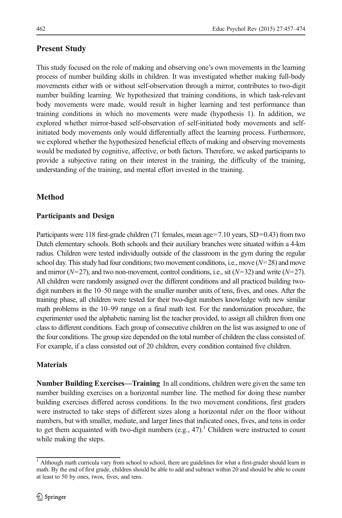# Present Study

This study focused on the role of making and observing one's own movements in the learning process of number building skills in children. It was investigated whether making full-body movements either with or without self-observation through a mirror, contributes to two-digit number building learning. We hypothesized that training conditions, in which task-relevant body movements were made, would result in higher learning and test performance than training conditions in which no movements were made (hypothesis 1). In addition, we explored whether mirror-based self-observation of self-initiated body movements and selfinitiated body movements only would differentially affect the learning process. Furthermore, we explored whether the hypothesized beneficial effects of making and observing movements would be mediated by cognitive, affective, or both factors. Therefore, we asked participants to provide a subjective rating on their interest in the training, the difficulty of the training, understanding of the training, and mental effort invested in the training.

# Method

### Participants and Design

Participants were 118 first-grade children (71 females, mean age=7.10 years, SD=0.43) from two Dutch elementary schools. Both schools and their auxiliary branches were situated within a 4-km radius. Children were tested individually outside of the classroom in the gym during the regular school day. This study had four conditions; two movement conditions, i.e., move  $(N=28)$  and move and mirror ( $N=27$ ), and two non-movement, control conditions, i.e., sit ( $N=32$ ) and write ( $N=27$ ). All children were randomly assigned over the different conditions and all practiced building twodigit numbers in the 10–50 range with the smaller number units of tens, fives, and ones. After the training phase, all children were tested for their two-digit numbers knowledge with new similar math problems in the 10–99 range on a final math test. For the randomization procedure, the experimenter used the alphabetic naming list the teacher provided, to assign all children from one class to different conditions. Each group of consecutive children on the list was assigned to one of the four conditions. The group size depended on the total number of children the class consisted of. For example, if a class consisted out of 20 children, every condition contained five children.

## **Materials**

Number Building Exercises—Training In all conditions, children were given the same ten number building exercises on a horizontal number line. The method for doing these number building exercises differed across conditions. In the two movement conditions, first graders were instructed to take steps of different sizes along a horizontal ruler on the floor without numbers, but with smaller, mediate, and larger lines that indicated ones, fives, and tens in order to get them acquainted with two-digit numbers (e.g., 47).<sup>1</sup> Children were instructed to count while making the steps.

<sup>&</sup>lt;sup>1</sup> Although math curricula vary from school to school, there are guidelines for what a first-grader should learn in math. By the end of first grade, children should be able to add and subtract within 20 and should be able to count at least to 50 by ones, twos, fives, and tens.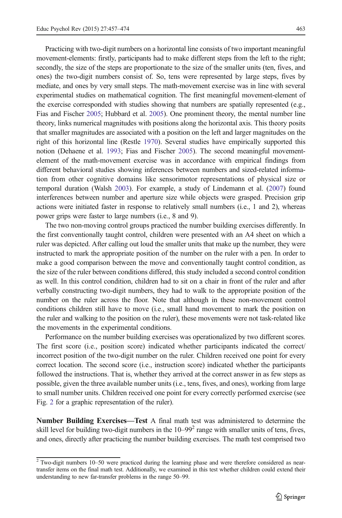Practicing with two-digit numbers on a horizontal line consists of two important meaningful movement-elements: firstly, participants had to make different steps from the left to the right; secondly, the size of the steps are proportionate to the size of the smaller units (ten, fives, and ones) the two-digit numbers consist of. So, tens were represented by large steps, fives by mediate, and ones by very small steps. The math-movement exercise was in line with several experimental studies on mathematical cognition. The first meaningful movement-element of the exercise corresponded with studies showing that numbers are spatially represented (e.g., Fias and Fischer [2005;](#page-15-0) Hubbard et al. [2005](#page-16-0)). One prominent theory, the mental number line theory, links numerical magnitudes with positions along the horizontal axis. This theory posits that smaller magnitudes are associated with a position on the left and larger magnitudes on the right of this horizontal line (Restle [1970](#page-17-0)). Several studies have empirically supported this notion (Dehaene et al. [1993](#page-15-0); Fias and Fischer [2005\)](#page-15-0). The second meaningful movementelement of the math-movement exercise was in accordance with empirical findings from different behavioral studies showing inferences between numbers and sized-related information from other cognitive domains like sensorimotor representations of physical size or temporal duration (Walsh [2003](#page-17-0)). For example, a study of Lindemann et al. [\(2007](#page-16-0)) found interferences between number and aperture size while objects were grasped. Precision grip actions were initiated faster in response to relatively small numbers (i.e., 1 and 2), whereas power grips were faster to large numbers (i.e., 8 and 9).

The two non-moving control groups practiced the number building exercises differently. In the first conventionally taught control, children were presented with an A4 sheet on which a ruler was depicted. After calling out loud the smaller units that make up the number, they were instructed to mark the appropriate position of the number on the ruler with a pen. In order to make a good comparison between the move and conventionally taught control condition, as the size of the ruler between conditions differed, this study included a second control condition as well. In this control condition, children had to sit on a chair in front of the ruler and after verbally constructing two-digit numbers, they had to walk to the appropriate position of the number on the ruler across the floor. Note that although in these non-movement control conditions children still have to move (i.e., small hand movement to mark the position on the ruler and walking to the position on the ruler), these movements were not task-related like the movements in the experimental conditions.

Performance on the number building exercises was operationalized by two different scores. The first score (i.e., position score) indicated whether participants indicated the correct/ incorrect position of the two-digit number on the ruler. Children received one point for every correct location. The second score (i.e., instruction score) indicated whether the participants followed the instructions. That is, whether they arrived at the correct answer in as few steps as possible, given the three available number units (i.e., tens, fives, and ones), working from large to small number units. Children received one point for every correctly performed exercise (see Fig. [2](#page-7-0) for a graphic representation of the ruler).

Number Building Exercises—Test A final math test was administered to determine the skill level for building two-digit numbers in the  $10-99<sup>2</sup>$  range with smaller units of tens, fives, and ones, directly after practicing the number building exercises. The math test comprised two

<sup>&</sup>lt;sup>2</sup> Two-digit numbers 10-50 were practiced during the learning phase and were therefore considered as neartransfer items on the final math test. Additionally, we examined in this test whether children could extend their understanding to new far-transfer problems in the range 50–99.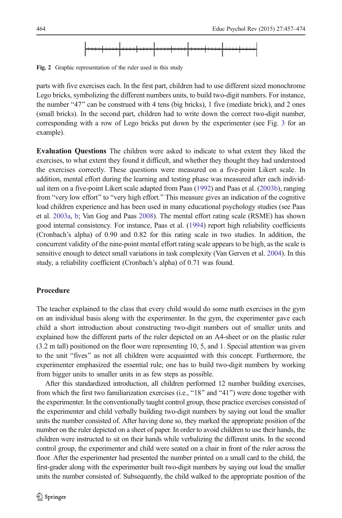

<span id="page-7-0"></span>Fig. 2 Graphic representation of the ruler used in this study

parts with five exercises each. In the first part, children had to use different sized monochrome Lego bricks, symbolizing the different numbers units, to build two-digit numbers. For instance, the number "47" can be construed with 4 tens (big bricks), 1 five (mediate brick), and 2 ones (small bricks). In the second part, children had to write down the correct two-digit number, corresponding with a row of Lego bricks put down by the experimenter (see Fig. [3](#page-8-0) for an example).

Evaluation Questions The children were asked to indicate to what extent they liked the exercises, to what extent they found it difficult, and whether they thought they had understood the exercises correctly. These questions were measured on a five-point Likert scale. In addition, mental effort during the learning and testing phase was measured after each individual item on a five-point Likert scale adapted from Paas ([1992](#page-16-0)) and Paas et al. ([2003b](#page-16-0)), ranging from "very low effort" to "very high effort." This measure gives an indication of the cognitive load children experience and has been used in many educational psychology studies (see Paas et al. [2003a,](#page-16-0) [b;](#page-16-0) Van Gog and Paas [2008](#page-17-0)). The mental effort rating scale (RSME) has shown good internal consistency. For instance, Paas et al. ([1994](#page-16-0)) report high reliability coefficients (Cronbach's alpha) of 0.90 and 0.82 for this rating scale in two studies. In addition, the concurrent validity of the nine-point mental effort rating scale appears to be high, as the scale is sensitive enough to detect small variations in task complexity (Van Gerven et al. [2004\)](#page-17-0). In this study, a reliability coefficient (Cronbach's alpha) of 0.71 was found.

### Procedure

The teacher explained to the class that every child would do some math exercises in the gym on an individual basis along with the experimenter. In the gym, the experimenter gave each child a short introduction about constructing two-digit numbers out of smaller units and explained how the different parts of the ruler depicted on an A4-sheet or on the plastic ruler (3.2 m tall) positioned on the floor were representing 10, 5, and 1. Special attention was given to the unit "fives" as not all children were acquainted with this concept. Furthermore, the experimenter emphasized the essential rule; one has to build two-digit numbers by working from bigger units to smaller units in as few steps as possible.

After this standardized introduction, all children performed 12 number building exercises, from which the first two familiarization exercises (i.e., "18" and "41") were done together with the experimenter. In the conventionally taught control group, these practice exercises consisted of the experimenter and child verbally building two-digit numbers by saying out loud the smaller units the number consisted of. After having done so, they marked the appropriate position of the number on the ruler depicted on a sheet of paper. In order to avoid children to use their hands, the children were instructed to sit on their hands while verbalizing the different units. In the second control group, the experimenter and child were seated on a chair in front of the ruler across the floor. After the experimenter had presented the number printed on a small card to the child, the first-grader along with the experimenter built two-digit numbers by saying out loud the smaller units the number consisted of. Subsequently, the child walked to the appropriate position of the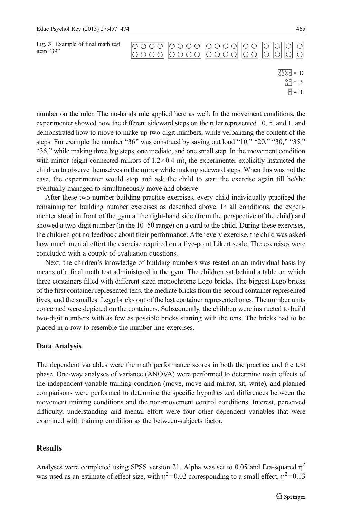<span id="page-8-0"></span>Fig. 3 Example of final math test item "39"

 $\frac{0000}{0000} = 10$  $\frac{100}{100} = 5$  $\sqrt{2} = 1$ 

number on the ruler. The no-hands rule applied here as well. In the movement conditions, the experimenter showed how the different sideward steps on the ruler represented 10, 5, and 1, and demonstrated how to move to make up two-digit numbers, while verbalizing the content of the steps. For example the number "36" was construed by saying out loud "10," "20," "30," "35," "36," while making three big steps, one mediate, and one small step. In the movement condition with mirror (eight connected mirrors of  $1.2 \times 0.4$  m), the experimenter explicitly instructed the children to observe themselves in the mirror while making sideward steps. When this was not the case, the experimenter would stop and ask the child to start the exercise again till he/she eventually managed to simultaneously move and observe

After these two number building practice exercises, every child individually practiced the remaining ten building number exercises as described above. In all conditions, the experimenter stood in front of the gym at the right-hand side (from the perspective of the child) and showed a two-digit number (in the 10–50 range) on a card to the child. During these exercises, the children got no feedback about their performance. After every exercise, the child was asked how much mental effort the exercise required on a five-point Likert scale. The exercises were concluded with a couple of evaluation questions.

Next, the children's knowledge of building numbers was tested on an individual basis by means of a final math test administered in the gym. The children sat behind a table on which three containers filled with different sized monochrome Lego bricks. The biggest Lego bricks of the first container represented tens, the mediate bricks from the second container represented fives, and the smallest Lego bricks out of the last container represented ones. The number units concerned were depicted on the containers. Subsequently, the children were instructed to build two-digit numbers with as few as possible bricks starting with the tens. The bricks had to be placed in a row to resemble the number line exercises.

### Data Analysis

The dependent variables were the math performance scores in both the practice and the test phase. One-way analyses of variance (ANOVA) were performed to determine main effects of the independent variable training condition (move, move and mirror, sit, write), and planned comparisons were performed to determine the specific hypothesized differences between the movement training conditions and the non-movement control conditions. Interest, perceived difficulty, understanding and mental effort were four other dependent variables that were examined with training condition as the between-subjects factor.

# **Results**

Analyses were completed using SPSS version 21. Alpha was set to 0.05 and Eta-squared  $\eta^2$ was used as an estimate of effect size, with  $\eta^2 = 0.02$  corresponding to a small effect,  $\eta^2 = 0.13$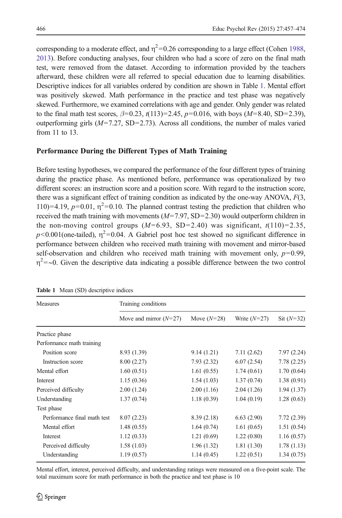<span id="page-9-0"></span>corresponding to a moderate effect, and  $\eta^2$ =0.26 corresponding to a large effect (Cohen [1988](#page-15-0), [2013](#page-15-0)). Before conducting analyses, four children who had a score of zero on the final math test, were removed from the dataset. According to information provided by the teachers afterward, these children were all referred to special education due to learning disabilities. Descriptive indices for all variables ordered by condition are shown in Table 1. Mental effort was positively skewed. Math performance in the practice and test phase was negatively skewed. Furthermore, we examined correlations with age and gender. Only gender was related to the final math test scores,  $\beta$ =0.23, t(113)=2.45, p=0.016, with boys (M=8.40, SD=2.39), outperforming girls  $(M=7.27, SD=2.73)$ . Across all conditions, the number of males varied from 11 to 13.

# Performance During the Different Types of Math Training

Before testing hypotheses, we compared the performance of the four different types of training during the practice phase. As mentioned before, performance was operationalized by two different scores: an instruction score and a position score. With regard to the instruction score, there was a significant effect of training condition as indicated by the one-way ANOVA,  $F(3)$ , 110)=4.19,  $p=0.01$ ,  $\eta^2=0.10$ . The planned contrast testing the prediction that children who received the math training with movements  $(M=7.97, SD=2.30)$  would outperform children in the non-moving control groups  $(M=6.93, SD=2.40)$  was significant,  $t(110)=2.35$ ,  $p$ <0.001(one-tailed),  $\eta^2$ =0.04. A Gabriel post hoc test showed no significant difference in performance between children who received math training with movement and mirror-based self-observation and children who received math training with movement only,  $p=0.99$ ,  $η<sup>2</sup>=~0$ . Given the descriptive data indicating a possible difference between the two control

| Measures                    | Training conditions      |               |                |              |
|-----------------------------|--------------------------|---------------|----------------|--------------|
|                             | Move and mirror $(N=27)$ | Move $(N=28)$ | Write $(N=27)$ | Sit $(N=32)$ |
| Practice phase              |                          |               |                |              |
| Performance math training   |                          |               |                |              |
| Position score              | 8.93 (1.39)              | 9.14(1.21)    | 7.11(2.62)     | 7.97(2.24)   |
| Instruction score           | 8.00(2.27)               | 7.93(2.32)    | 6.07(2.54)     | 7.78(2.25)   |
| Mental effort               | 1.60(0.51)               | 1.61(0.55)    | 1.74(0.61)     | 1.70(0.64)   |
| Interest                    | 1.15(0.36)               | 1.54(1.03)    | 1.37(0.74)     | 1.38(0.91)   |
| Perceived difficulty        | 2.00(1.24)               | 2.00(1.16)    | 2.04(1.26)     | 1.94(1.37)   |
| Understanding               | 1.37(0.74)               | 1.18(0.39)    | 1.04(0.19)     | 1.28(0.63)   |
| Test phase                  |                          |               |                |              |
| Performance final math test | 8.07(2.23)               | 8.39(2.18)    | 6.63(2.90)     | 7.72(2.39)   |
| Mental effort               | 1.48(0.55)               | 1.64(0.74)    | 1.61(0.65)     | 1.51(0.54)   |
| Interest                    | 1.12(0.33)               | 1.21(0.69)    | 1.22(0.80)     | 1.16(0.57)   |
| Perceived difficulty        | 1.58(1.03)               | 1.96(1.32)    | 1.81(1.30)     | 1.78(1.13)   |
| Understanding               | 1.19(0.57)               | 1.14(0.45)    | 1.22(0.51)     | 1.34(0.75)   |

Table 1 Mean (SD) descriptive indices

Mental effort, interest, perceived difficulty, and understanding ratings were measured on a five-point scale. The total maximum score for math performance in both the practice and test phase is 10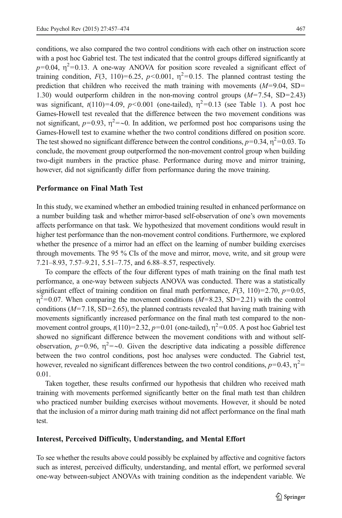conditions, we also compared the two control conditions with each other on instruction score with a post hoc Gabriel test. The test indicated that the control groups differed significantly at  $p=0.04$ ,  $\eta^2=0.13$ . A one-way ANOVA for position score revealed a significant effect of training condition,  $F(3, 110)=6.25$ ,  $p<0.001$ ,  $\eta^2=0.15$ . The planned contrast testing the prediction that children who received the math training with movements  $(M=9.04, SD=$ 1.30) would outperform children in the non-moving control groups  $(M=7.54, SD=2.43)$ was significant,  $t(110)=4.09$ ,  $p<0.001$  (one-tailed),  $\eta^2=0.13$  (see Table [1\)](#page-9-0). A post hoc Games-Howell test revealed that the difference between the two movement conditions was not significant,  $p=0.93$ ,  $\eta^2 = \sim 0$ . In addition, we performed post hoc comparisons using the Games-Howell test to examine whether the two control conditions differed on position score. The test showed no significant difference between the control conditions,  $p=0.34$ ,  $\eta^2=0.03$ . To conclude, the movement group outperformed the non-movement control group when building two-digit numbers in the practice phase. Performance during move and mirror training, however, did not significantly differ from performance during the move training.

#### Performance on Final Math Test

In this study, we examined whether an embodied training resulted in enhanced performance on a number building task and whether mirror-based self-observation of one's own movements affects performance on that task. We hypothesized that movement conditions would result in higher test performance than the non-movement control conditions. Furthermore, we explored whether the presence of a mirror had an effect on the learning of number building exercises through movements. The 95 % CIs of the move and mirror, move, write, and sit group were 7.21–8.93, 7.57–9.21, 5.51–7.75, and 6.88–8.57, respectively.

To compare the effects of the four different types of math training on the final math test performance, a one-way between subjects ANOVA was conducted. There was a statistically significant effect of training condition on final math performance,  $F(3, 110)=2.70$ ,  $p=0.05$ ,  $\eta^2$ =0.07. When comparing the movement conditions (M=8.23, SD=2.21) with the control conditions  $(M=7.18, SD=2.65)$ , the planned contrasts revealed that having math training with movements significantly increased performance on the final math test compared to the nonmovement control groups,  $t(110)=2.32$ ,  $p=0.01$  (one-tailed),  $\eta^2=0.05$ . A post hoc Gabriel test showed no significant difference between the movement conditions with and without selfobservation,  $p=0.96$ ,  $\eta^2 = \sim 0$ . Given the descriptive data indicating a possible difference between the two control conditions, post hoc analyses were conducted. The Gabriel test, however, revealed no significant differences between the two control conditions,  $p=0.43$ ,  $\eta^2$ 0.01.

Taken together, these results confirmed our hypothesis that children who received math training with movements performed significantly better on the final math test than children who practiced number building exercises without movements. However, it should be noted that the inclusion of a mirror during math training did not affect performance on the final math test.

### Interest, Perceived Difficulty, Understanding, and Mental Effort

To see whether the results above could possibly be explained by affective and cognitive factors such as interest, perceived difficulty, understanding, and mental effort, we performed several one-way between-subject ANOVAs with training condition as the independent variable. We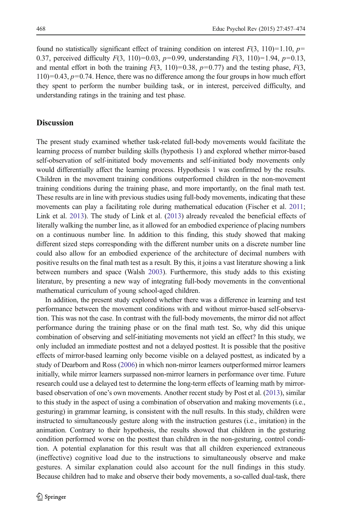found no statistically significant effect of training condition on interest  $F(3, 110)=1.10$ ,  $p=$ 0.37, perceived difficulty  $F(3, 110)=0.03$ ,  $p=0.99$ , understanding  $F(3, 110)=1.94$ ,  $p=0.13$ , and mental effort in both the training  $F(3, 110)=0.38$ ,  $p=0.77$ ) and the testing phase,  $F(3, 110)=0.38$ ,  $p=0.77$ ) and the testing phase,  $F(3, 110)=0.38$  $110$ )=0.43,  $p=0.74$ . Hence, there was no difference among the four groups in how much effort they spent to perform the number building task, or in interest, perceived difficulty, and understanding ratings in the training and test phase.

## **Discussion**

The present study examined whether task-related full-body movements would facilitate the learning process of number building skills (hypothesis 1) and explored whether mirror-based self-observation of self-initiated body movements and self-initiated body movements only would differentially affect the learning process. Hypothesis 1 was confirmed by the results. Children in the movement training conditions outperformed children in the non-movement training conditions during the training phase, and more importantly, on the final math test. These results are in line with previous studies using full-body movements, indicating that these movements can play a facilitating role during mathematical education (Fischer et al. [2011](#page-15-0); Link et al. [2013](#page-16-0)). The study of Link et al. ([2013](#page-16-0)) already revealed the beneficial effects of literally walking the number line, as it allowed for an embodied experience of placing numbers on a continuous number line. In addition to this finding, this study showed that making different sized steps corresponding with the different number units on a discrete number line could also allow for an embodied experience of the architecture of decimal numbers with positive results on the final math test as a result. By this, it joins a vast literature showing a link between numbers and space (Walsh [2003](#page-17-0)). Furthermore, this study adds to this existing literature, by presenting a new way of integrating full-body movements in the conventional mathematical curriculum of young school-aged children.

In addition, the present study explored whether there was a difference in learning and test performance between the movement conditions with and without mirror-based self-observation. This was not the case. In contrast with the full-body movements, the mirror did not affect performance during the training phase or on the final math test. So, why did this unique combination of observing and self-initiating movements not yield an effect? In this study, we only included an immediate posttest and not a delayed posttest. It is possible that the positive effects of mirror-based learning only become visible on a delayed posttest, as indicated by a study of Dearborn and Ross ([2006](#page-15-0)) in which non-mirror learners outperformed mirror learners initially, while mirror learners surpassed non-mirror learners in performance over time. Future research could use a delayed test to determine the long-term effects of learning math by mirrorbased observation of one's own movements. Another recent study by Post et al. [\(2013](#page-16-0)), similar to this study in the aspect of using a combination of observation and making movements (i.e., gesturing) in grammar learning, is consistent with the null results. In this study, children were instructed to simultaneously gesture along with the instruction gestures (i.e., imitation) in the animation. Contrary to their hypothesis, the results showed that children in the gesturing condition performed worse on the posttest than children in the non-gesturing, control condition. A potential explanation for this result was that all children experienced extraneous (ineffective) cognitive load due to the instructions to simultaneously observe and make gestures. A similar explanation could also account for the null findings in this study. Because children had to make and observe their body movements, a so-called dual-task, there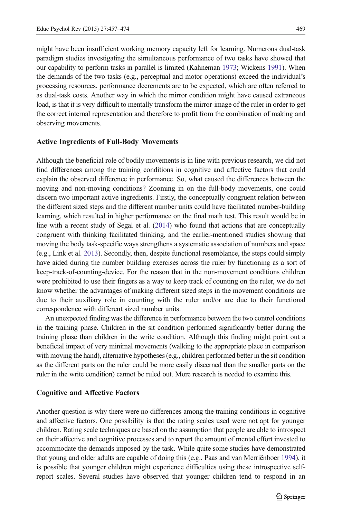might have been insufficient working memory capacity left for learning. Numerous dual-task paradigm studies investigating the simultaneous performance of two tasks have showed that our capability to perform tasks in parallel is limited (Kahneman [1973](#page-16-0); Wickens [1991](#page-17-0)). When the demands of the two tasks (e.g., perceptual and motor operations) exceed the individual's processing resources, performance decrements are to be expected, which are often referred to as dual-task costs. Another way in which the mirror condition might have caused extraneous load, is that it is very difficult to mentally transform the mirror-image of the ruler in order to get the correct internal representation and therefore to profit from the combination of making and observing movements.

### Active Ingredients of Full-Body Movements

Although the beneficial role of bodily movements is in line with previous research, we did not find differences among the training conditions in cognitive and affective factors that could explain the observed difference in performance. So, what caused the differences between the moving and non-moving conditions? Zooming in on the full-body movements, one could discern two important active ingredients. Firstly, the conceptually congruent relation between the different sized steps and the different number units could have facilitated number-building learning, which resulted in higher performance on the final math test. This result would be in line with a recent study of Segal et al. [\(2014\)](#page-17-0) who found that actions that are conceptually congruent with thinking facilitated thinking, and the earlier-mentioned studies showing that moving the body task-specific ways strengthens a systematic association of numbers and space (e.g., Link et al. [2013](#page-16-0)). Secondly, then, despite functional resemblance, the steps could simply have aided during the number building exercises across the ruler by functioning as a sort of keep-track-of-counting-device. For the reason that in the non-movement conditions children were prohibited to use their fingers as a way to keep track of counting on the ruler, we do not know whether the advantages of making different sized steps in the movement conditions are due to their auxiliary role in counting with the ruler and/or are due to their functional correspondence with different sized number units.

An unexpected finding was the difference in performance between the two control conditions in the training phase. Children in the sit condition performed significantly better during the training phase than children in the write condition. Although this finding might point out a beneficial impact of very minimal movements (walking to the appropriate place in comparison with moving the hand), alternative hypotheses (e.g., children performed better in the sit condition as the different parts on the ruler could be more easily discerned than the smaller parts on the ruler in the write condition) cannot be ruled out. More research is needed to examine this.

#### Cognitive and Affective Factors

Another question is why there were no differences among the training conditions in cognitive and affective factors. One possibility is that the rating scales used were not apt for younger children. Rating scale techniques are based on the assumption that people are able to introspect on their affective and cognitive processes and to report the amount of mental effort invested to accommodate the demands imposed by the task. While quite some studies have demonstrated that young and older adults are capable of doing this (e.g., Paas and van Merriënboer [1994\)](#page-16-0), it is possible that younger children might experience difficulties using these introspective selfreport scales. Several studies have observed that younger children tend to respond in an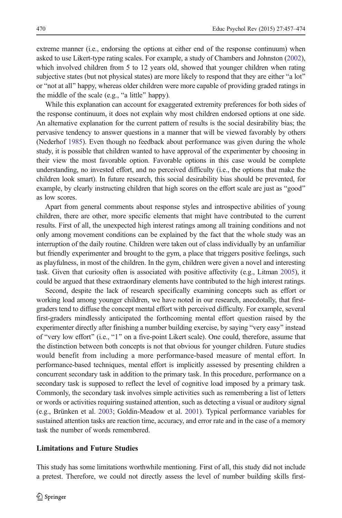extreme manner (i.e., endorsing the options at either end of the response continuum) when asked to use Likert-type rating scales. For example, a study of Chambers and Johnston ([2002](#page-15-0)), which involved children from 5 to 12 years old, showed that younger children when rating subjective states (but not physical states) are more likely to respond that they are either "a lot" or "not at all" happy, whereas older children were more capable of providing graded ratings in the middle of the scale  $(e.g., "a little" happy).$ 

While this explanation can account for exaggerated extremity preferences for both sides of the response continuum, it does not explain why most children endorsed options at one side. An alternative explanation for the current pattern of results is the social desirability bias; the pervasive tendency to answer questions in a manner that will be viewed favorably by others (Nederhof [1985](#page-16-0)). Even though no feedback about performance was given during the whole study, it is possible that children wanted to have approval of the experimenter by choosing in their view the most favorable option. Favorable options in this case would be complete understanding, no invested effort, and no perceived difficulty (i.e., the options that make the children look smart). In future research, this social desirability bias should be prevented, for example, by clearly instructing children that high scores on the effort scale are just as "good" as low scores.

Apart from general comments about response styles and introspective abilities of young children, there are other, more specific elements that might have contributed to the current results. First of all, the unexpected high interest ratings among all training conditions and not only among movement conditions can be explained by the fact that the whole study was an interruption of the daily routine. Children were taken out of class individually by an unfamiliar but friendly experimenter and brought to the gym, a place that triggers positive feelings, such as playfulness, in most of the children. In the gym, children were given a novel and interesting task. Given that curiosity often is associated with positive affectivity (e.g., Litman [2005](#page-16-0)), it could be argued that these extraordinary elements have contributed to the high interest ratings.

Second, despite the lack of research specifically examining concepts such as effort or working load among younger children, we have noted in our research, anecdotally, that firstgraders tend to diffuse the concept mental effort with perceived difficulty. For example, several first-graders mindlessly anticipated the forthcoming mental effort question raised by the experimenter directly after finishing a number building exercise, by saying "very easy" instead of "very low effort" (i.e., "1" on a five-point Likert scale). One could, therefore, assume that the distinction between both concepts is not that obvious for younger children. Future studies would benefit from including a more performance-based measure of mental effort. In performance-based techniques, mental effort is implicitly assessed by presenting children a concurrent secondary task in addition to the primary task. In this procedure, performance on a secondary task is supposed to reflect the level of cognitive load imposed by a primary task. Commonly, the secondary task involves simple activities such as remembering a list of letters or words or activities requiring sustained attention, such as detecting a visual or auditory signal (e.g., Brünken et al. [2003;](#page-15-0) Goldin-Meadow et al. [2001](#page-16-0)). Typical performance variables for sustained attention tasks are reaction time, accuracy, and error rate and in the case of a memory task the number of words remembered.

#### Limitations and Future Studies

This study has some limitations worthwhile mentioning. First of all, this study did not include a pretest. Therefore, we could not directly assess the level of number building skills first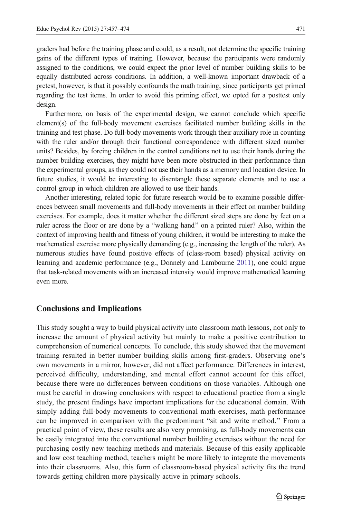graders had before the training phase and could, as a result, not determine the specific training gains of the different types of training. However, because the participants were randomly assigned to the conditions, we could expect the prior level of number building skills to be equally distributed across conditions. In addition, a well-known important drawback of a pretest, however, is that it possibly confounds the math training, since participants get primed regarding the test items. In order to avoid this priming effect, we opted for a posttest only design.

Furthermore, on basis of the experimental design, we cannot conclude which specific element(s) of the full-body movement exercises facilitated number building skills in the training and test phase. Do full-body movements work through their auxiliary role in counting with the ruler and/or through their functional correspondence with different sized number units? Besides, by forcing children in the control conditions not to use their hands during the number building exercises, they might have been more obstructed in their performance than the experimental groups, as they could not use their hands as a memory and location device. In future studies, it would be interesting to disentangle these separate elements and to use a control group in which children are allowed to use their hands.

Another interesting, related topic for future research would be to examine possible differences between small movements and full-body movements in their effect on number building exercises. For example, does it matter whether the different sized steps are done by feet on a ruler across the floor or are done by a "walking hand" on a printed ruler? Also, within the context of improving health and fitness of young children, it would be interesting to make the mathematical exercise more physically demanding (e.g., increasing the length of the ruler). As numerous studies have found positive effects of (class-room based) physical activity on learning and academic performance (e.g., Donnely and Lambourne [2011\)](#page-15-0), one could argue that task-related movements with an increased intensity would improve mathematical learning even more.

## Conclusions and Implications

This study sought a way to build physical activity into classroom math lessons, not only to increase the amount of physical activity but mainly to make a positive contribution to comprehension of numerical concepts. To conclude, this study showed that the movement training resulted in better number building skills among first-graders. Observing one's own movements in a mirror, however, did not affect performance. Differences in interest, perceived difficulty, understanding, and mental effort cannot account for this effect, because there were no differences between conditions on those variables. Although one must be careful in drawing conclusions with respect to educational practice from a single study, the present findings have important implications for the educational domain. With simply adding full-body movements to conventional math exercises, math performance can be improved in comparison with the predominant "sit and write method." From a practical point of view, these results are also very promising, as full-body movements can be easily integrated into the conventional number building exercises without the need for purchasing costly new teaching methods and materials. Because of this easily applicable and low cost teaching method, teachers might be more likely to integrate the movements into their classrooms. Also, this form of classroom-based physical activity fits the trend towards getting children more physically active in primary schools.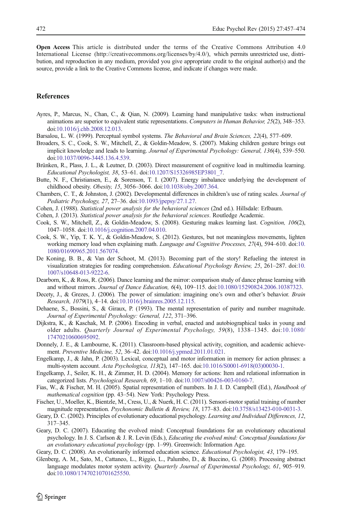<span id="page-15-0"></span>Open Access This article is distributed under the terms of the Creative Commons Attribution 4.0 International License (http://creativecommons.org/licenses/by/4.0/), which permits unrestricted use, distribution, and reproduction in any medium, provided you give appropriate credit to the original author(s) and the source, provide a link to the Creative Commons license, and indicate if changes were made.

#### **References**

Ayres, P., Marcus, N., Chan, C., & Qian, N. (2009). Learning hand manipulative tasks: when instructional animations are superior to equivalent static representations. Computers in Human Behavior, 25(2), 348–353. doi:[10.1016/j.chb.2008.12.013](http://dx.doi.org/10.1016/j.chb.2008.12.013).

Barsalou, L. W. (1999). Perceptual symbol systems. The Behavioral and Brain Sciences, 22(4), 577–609.

- Broaders, S. C., Cook, S. W., Mitchell, Z., & Goldin-Meadow, S. (2007). Making children gesture brings out implicit knowledge and leads to learning. Journal of Experimental Psychology: General, 136(4), 539–550. doi:[10.1037/0096-3445.136.4.539.](http://dx.doi.org/10.1037/0096-3445.136.4.539)
- Brünken, R., Plass, J. L., & Leutner, D. (2003). Direct measurement of cognitive load in multimedia learning. Educational Psychologist, 38, 53–61. doi[:10.1207/S15326985EP3801\\_7](http://dx.doi.org/10.1207/S15326985EP3801_7).
- Butte, N. F., Christiansen, E., & Sorenson, T. I. (2007). Energy imbalance underlying the development of childhood obesity. Obesity, 15, 3056–3066. doi[:10.1038/oby.2007.364](http://dx.doi.org/10.1038/oby.2007.364).
- Chambers, C. T., & Johnston, J. (2002). Developmental differences in children's use of rating scales. Journal of Pediatric Psychology, 27, 27–36. doi[:10.1093/jpepsy/27.1.27.](http://dx.doi.org/10.1093/jpepsy/27.1.27)
- Cohen, J. (1988). Statistical power analysis for the behavioral sciences (2nd ed.). Hillsdale: Erlbaum.
- Cohen, J. (2013). Statistical power analysis for the behavioral sciences. Routledge Academic.
- Cook, S. W., Mitchell, Z., & Goldin-Meadow, S. (2008). Gesturing makes learning last. Cognition, 106(2), 1047–1058. doi:[10.1016/j.cognition.2007.04.010](http://dx.doi.org/10.1016/j.cognition.2007.04.010).
- Cook, S. W., Yip, T. K. Y., & Goldin-Meadow, S. (2012). Gestures, but not meaningless movements, lighten working memory load when explaining math. Language and Cognitive Processes, 27(4), 594–6[10.](http://dx.doi.org/10.1080/01690965.2011.567074) doi:10. [1080/01690965.2011.567074.](http://dx.doi.org/10.1080/01690965.2011.567074)
- De Koning, B. B., & Van der Schoot, M. (2013). Becoming part of the story! Refueling the interest in visualization strategies for reading comprehension. Educational Psychology Review, 25, 261–287. doi:[10.](http://dx.doi.org/10.1007/s10648-013-9222-6) [1007/s10648-013-9222-6](http://dx.doi.org/10.1007/s10648-013-9222-6).
- Dearborn, K., & Ross, R. (2006). Dance learning and the mirror: comparison study of dance phrase learning with and without mirrors. Journal of Dance Education, 6(4), 109–115. doi[:10.1080/15290824.2006.10387323.](http://dx.doi.org/10.1080/15290824.2006.10387323)
- Decety, J., & Grezes, J. (2006). The power of simulation: imagining one's own and other's behavior. Brain Research, 1079(1), 4–14. doi[:10.1016/j.brainres.2005.12.115](http://dx.doi.org/10.1016/j.brainres.2005.12.115).
- Dehaene, S., Bossini, S., & Giraux, P. (1993). The mental representation of parity and number magnitude. Journal of Experimental Psychology: General, 122, 371–396.
- Dijkstra, K., & Kaschak, M. P. (2006). Encoding in verbal, enacted and autobiographical tasks in young and older adults. Quarterly Journal of Experimental Psychology, 59(8), 1338–1345. doi:[10.1080/](http://dx.doi.org/10.1080/17470210600695092) [17470210600695092.](http://dx.doi.org/10.1080/17470210600695092)
- Donnely, J. E., & Lambourne, K. (2011). Classroom-based physical activity, cognition, and academic achievement. Preventive Medicine, 52, 36–42. doi[:10.1016/j.ypmed.2011.01.021.](http://dx.doi.org/10.1016/j.ypmed.2011.01.021)
- Engelkamp, J., & Jahn, P. (2003). Lexical, conceptual and motor information in memory for action phrases: a multi-system account. Acta Psychologica, 113(2), 147–165. doi[:10.1016/S0001-6918\(03\)00030-1.](http://dx.doi.org/10.1016/S0001-6918(03)00030-1)
- Engelkamp, J., Seiler, K. H., & Zimmer, H. D. (2004). Memory for actions: Item and relational information in categorized lists. Psychological Research, 69, 1–10. doi[:10.1007/s00426-003-0160-7](http://dx.doi.org/10.1007/s00426-003-0160-7).
- Fias, W., & Fischer, M. H. (2005). Spatial representation of numbers. In J. I. D. Campbell (Ed.), *Handbook of* mathematical cognition (pp. 43–54). New York: Psychology Press.
- Fischer, U., Moeller, K., Bientzle, M., Cress, U., & Nuerk, H. C. (2011). Sensori-motor spatial training of number magnitude representation. Psychonomic Bulletin & Review, 18, 177–83. doi[:10.3758/s13423-010-0031-3](http://dx.doi.org/10.3758/s13423-010-0031-3).
- Geary, D. C. (2002). Principles of evolutionary educational psychology. Learning and Individual Differences, 12, 317–345.
- Geary, D. C. (2007). Educating the evolved mind: Conceptual foundations for an evolutionary educational psychology. In J. S. Carlson & J. R. Levin (Eds.), Educating the evolved mind: Conceptual foundations for an evolutionary educational psychology (pp. 1–99). Greenwich: Information Age.
- Geary, D. C. (2008). An evolutionarily informed education science. Educational Psychologist, 43, 179–195.
- Glenberg, A. M., Sato, M., Cattaneo, L., Riggio, L., Palumbo, D., & Buccino, G. (2008). Processing abstract language modulates motor system activity. Quarterly Journal of Experimental Psychology, 61, 905-919. doi:[10.1080/17470210701625550.](http://dx.doi.org/10.1080/17470210701625550)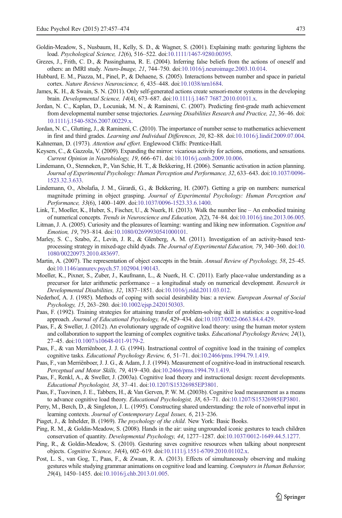- <span id="page-16-0"></span>Goldin-Meadow, S., Nusbaum, H., Kelly, S. D., & Wagner, S. (2001). Explaining math: gesturing lightens the load. Psychological Science, 12(6), 516–522. doi:[10.1111/1467-9280.00395.](http://dx.doi.org/10.1111/1467-9280.00395)
- Grezes, J., Frith, C. D., & Passinghama, R. E. (2004). Inferring false beliefs from the actions of oneself and others: an fMRI study. Neuro-Image, 21, 744–750. doi:[10.1016/j.neuroimage.2003.10.014](http://dx.doi.org/10.1016/j.neuroimage.2003.10.014).
- Hubbard, E. M., Piazza, M., Pinel, P., & Dehaene, S. (2005). Interactions between number and space in parietal cortex. Nature Reviews Neuroscience, 6, 435–448. doi[:10.1038/nrn1684.](http://dx.doi.org/10.1038/nrn1684)
- James, K. H., & Swain, S. N. (2011). Only self-generated actions create sensori-motor systems in the developing brain. Developmental Science, 14(4), 673–687. doi[:10.1111/j.1467 7687.2010.01011.x](http://dx.doi.org/10.1111/j.1467%207687.2010.01011.x).
- Jordan, N. C., Kaplan, D., Locuniak, M. N., & Ramineni, C. (2007). Predicting first-grade math achievement from developmental number sense trajectories. Learning Disabilities Research and Practice, 22, 36–46. doi: [10.1111/j.1540-5826.2007.00229.x.](http://dx.doi.org/10.1111/j.1540-5826.2007.00229.x)
- Jordan, N. C., Glutting, J., & Ramineni, C. (2010). The importance of number sense to mathematics achievement in first and third grades. Learning and Individual Differences, 20, 82–88. doi:[10.1016/j.lindif.2009.07.004.](http://dx.doi.org/10.1016/j.lindif.2009.07.004)
- Kahneman, D. (1973). Attention and effort. Englewood Cliffs: Prentice-Hall.
- Keysers, C., & Gazzola, V. (2009). Expanding the mirror: vicarious activity for actions, emotions, and sensations. Current Opinion in Neurobiology, 19, 666–671. doi[:10.1016/j.conb.2009.10.006.](http://dx.doi.org/10.1016/j.conb.2009.10.006)
- Lindemann, O., Stenneken, P., Van Schie, H. T., & Bekkering, H. (2006). Semantic activation in action planning. Journal of Experimental Psychology: Human Perception and Performance, 32, 633–643. doi[:10.1037/0096-](http://dx.doi.org/10.1037/0096-1523.32.3.633) [1523.32.3.633](http://dx.doi.org/10.1037/0096-1523.32.3.633).
- Lindemann, O., Abolafia, J. M., Girardi, G., & Bekkering, H. (2007). Getting a grip on numbers: numerical magnitude priming in object grasping. Journal of Experimental Psychology: Human Perception and Performance, 33(6), 1400–1409. doi[:10.1037/0096-1523.33.6.1400](http://dx.doi.org/10.1037/0096-1523.33.6.1400).
- Link, T., Moeller, K., Huber, S., Fischer, U., & Nuerk, H. (2013). Walk the number line An embodied training of numerical concepts. Trends in Neuroscience and Education, 2(2), 74–84. doi:[10.1016/j.tine.2013.06.005.](http://dx.doi.org/10.1016/j.tine.2013.06.005)
- Litman, J. A. (2005). Curiosity and the pleasures of learning: wanting and liking new information. Cognition and Emotion, 19, 793–814. doi[:10.1080/02699930541000101](http://dx.doi.org/10.1080/02699930541000101).
- Marley, S. C., Szabo, Z., Levin, J. R., & Glenberg, A. M. (2011). Investigation of an activity-based textprocessing strategy in mixed-age child dyads. The Journal of Experimental Education, 79, 340–360. doi[:10.](http://dx.doi.org/10.1080/00220973.2010.483697) [1080/00220973.2010.483697.](http://dx.doi.org/10.1080/00220973.2010.483697)
- Martin, A. (2007). The representation of object concepts in the brain. Annual Review of Psychology, 58, 25–45. doi:[10.1146/annurev.psych.57.102904.190143](http://dx.doi.org/10.1146/annurev.psych.57.102904.190143).
- Moeller, K., Pixner, S., Zuber, J., Kaufmann, L., & Nuerk, H. C. (2011). Early place-value understanding as a precursor for later arithmetic performance – a longitudinal study on numerical development. Research in Developmental Disabilities, 32, 1837–1851. doi:[10.1016/j.ridd.2011.03.012](http://dx.doi.org/10.1016/j.ridd.2011.03.012).
- Nederhof, A. J. (1985). Methods of coping with social desirability bias: a review. European Journal of Social Psychology, 15, 263–280. doi[:10.1002/ejsp.2420150303](http://dx.doi.org/10.1002/ejsp.2420150303).
- Paas, F. (1992). Training strategies for attaining transfer of problem-solving skill in statistics: a cognitive-load approach. Journal of Educational Psychology, 84, 429–434. doi[:10.1037/0022-0663.84.4.429.](http://dx.doi.org/10.1037/0022-0663.84.4.429)
- Paas, F., & Sweller, J. (2012). An evolutionary upgrade of cognitive load theory: using the human motor system and collaboration to support the learning of complex cognitive tasks. Educational Psychology Review, 24(1), 27–45. doi[:10.1007/s10648-011-9179-2.](http://dx.doi.org/10.1007/s10648-011-9179-2)
- Paas, F., & van Merriënboer, J. J. G. (1994). Instructional control of cognitive load in the training of complex cognitive tasks. Educational Psychology Review, 6, 51–71. doi[:10.2466/pms.1994.79.1.419](http://dx.doi.org/10.2466/pms.1994.79.1.419).
- Paas, F., van Merriënboer, J. J. G., & Adam, J. J. (1994). Measurement of cognitive-load in instructional research. Perceptual and Motor Skills, 79, 419–430. doi[:10.2466/pms.1994.79.1.419](http://dx.doi.org/10.2466/pms.1994.79.1.419).
- Paas, F., Renkl, A., & Sweller, J. (2003a). Cognitive load theory and instructional design: recent developments. Educational Psychologist, 38, 37–41. doi[:10.1207/S15326985EP3801](http://dx.doi.org/10.1207/S15326985EP3801).
- Paas, F., Tuovinen, J. E., Tabbers, H., & Van Gerven, P. W. M. (2003b). Cognitive load measurement as a means to advance cognitive load theory. Educational Psychologist, 38, 63-71. doi[:10.1207/S15326985EP3801.](http://dx.doi.org/10.1207/S15326985EP3801)
- Perry, M., Berch, D., & Singleton, J. L. (1995). Constructing shared understanding: the role of nonverbal input in learning contexts. Journal of Contemporary Legal Issues, 6, 213–236.
- Piaget, J., & Inhelder, B. (1969). The psychology of the child. New York: Basic Books.
- Ping, R. M., & Goldin-Meadow, S. (2008). Hands in the air: using ungrounded iconic gestures to teach children conservation of quantity. Developmental Psychology, 44, 1277–1287. doi:[10.1037/0012-1649.44.5.1277](http://dx.doi.org/10.1037/0012-1649.44.5.1277).
- Ping, R., & Goldin-Meadow, S. (2010). Gesturing saves cognitive resources when talking about nonpresent objects. Cognitive Science, 34(4), 602–619. doi[:10.1111/j.1551-6709.2010.01102.x](http://dx.doi.org/10.1111/j.1551-6709.2010.01102.x).
- Post, L. S., van Gog, T., Paas, F., & Zwaan, R. A. (2013). Effects of simultaneously observing and making gestures while studying grammar animations on cognitive load and learning. Computers in Human Behavior, 29(4), 1450–1455. doi:[10.1016/j.chb.2013.01.005](http://dx.doi.org/10.1016/j.chb.2013.01.005).